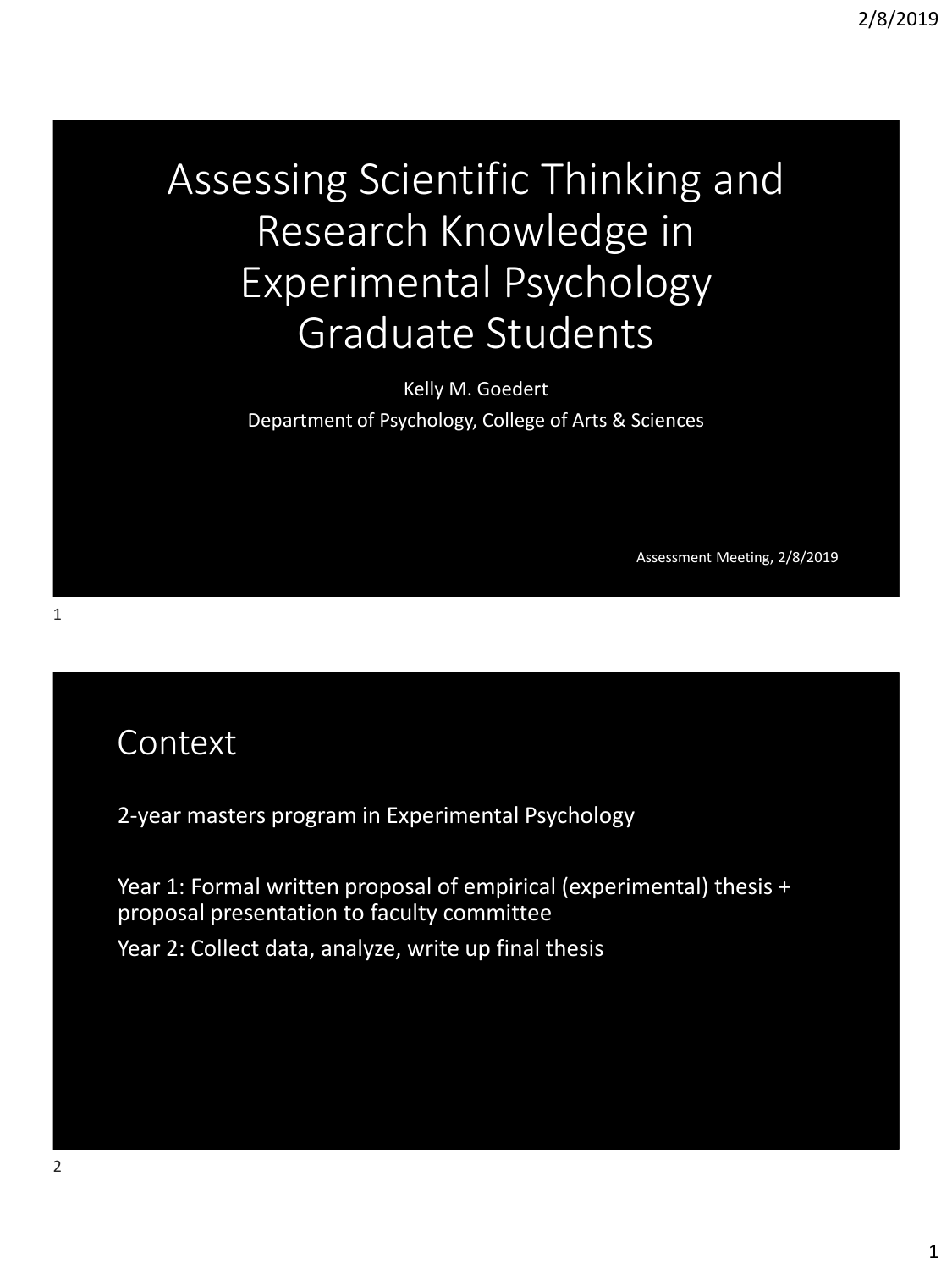# Assessing Scientific Thinking and Research Knowledge in Experimental Psychology Graduate Students

Kelly M. Goedert Department of Psychology, College of Arts & Sciences

Assessment Meeting, 2/8/2019

### Context

2-year masters program in Experimental Psychology

Year 1: Formal written proposal of empirical (experimental) thesis + proposal presentation to faculty committee Year 2: Collect data, analyze, write up final thesis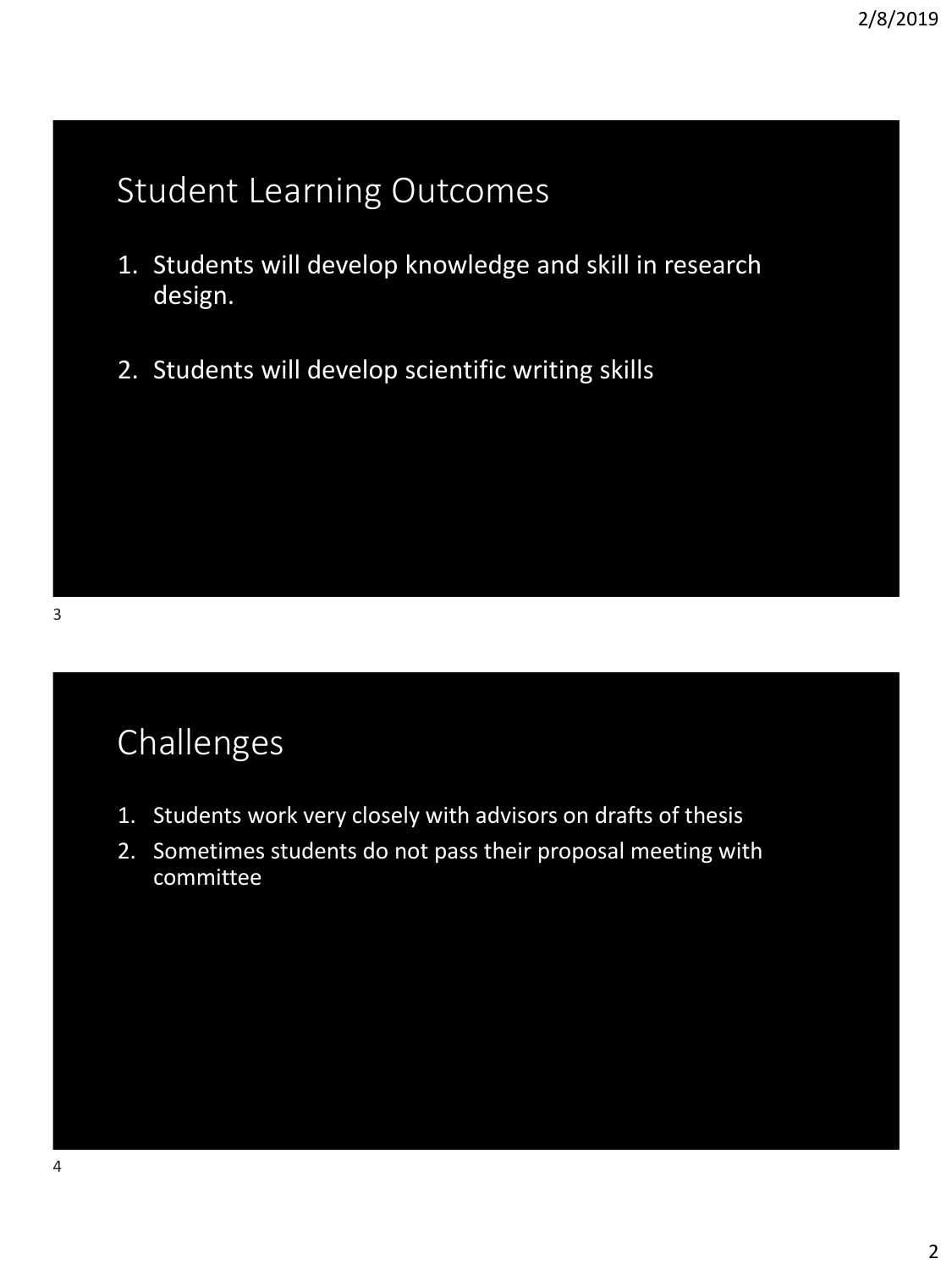## Student Learning Outcomes

- 1. Students will develop knowledge and skill in research design.
- 2. Students will develop scientific writing skills

## Challenges

- 1. Students work very closely with advisors on drafts of thesis
- 2. Sometimes students do not pass their proposal meeting with committee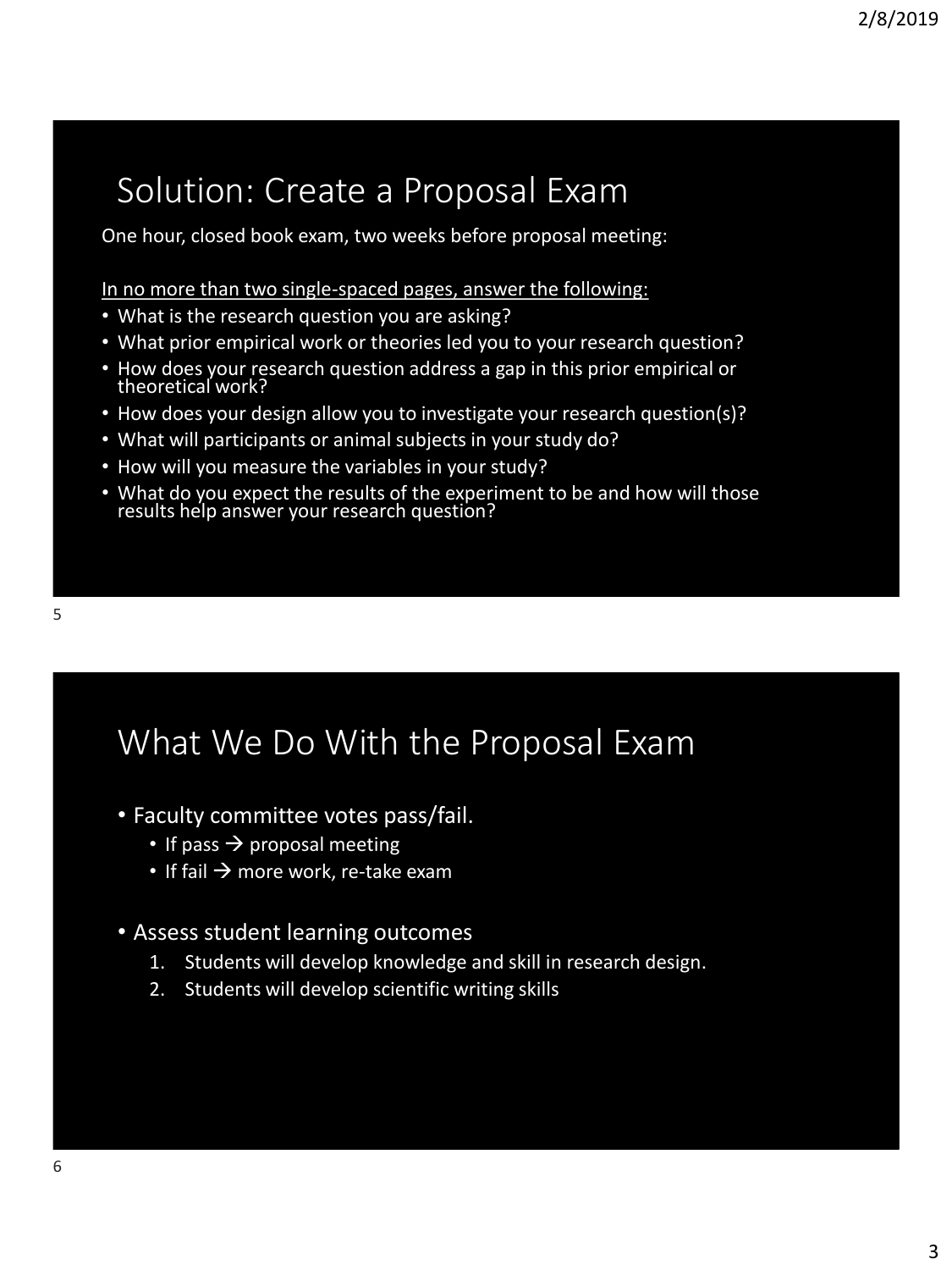## Solution: Create a Proposal Exam

One hour, closed book exam, two weeks before proposal meeting:

In no more than two single-spaced pages, answer the following:

- What is the research question you are asking?
- What prior empirical work or theories led you to your research question?
- How does your research question address a gap in this prior empirical or theoretical work?
- How does your design allow you to investigate your research question(s)?
- What will participants or animal subjects in your study do?
- How will you measure the variables in your study?
- What do you expect the results of the experiment to be and how will those results help answer your research question?

## What We Do With the Proposal Exam

- Faculty committee votes pass/fail.
	- If pass  $\rightarrow$  proposal meeting
	- If fail  $\rightarrow$  more work, re-take exam

#### • Assess student learning outcomes

- 1. Students will develop knowledge and skill in research design.
- 2. Students will develop scientific writing skills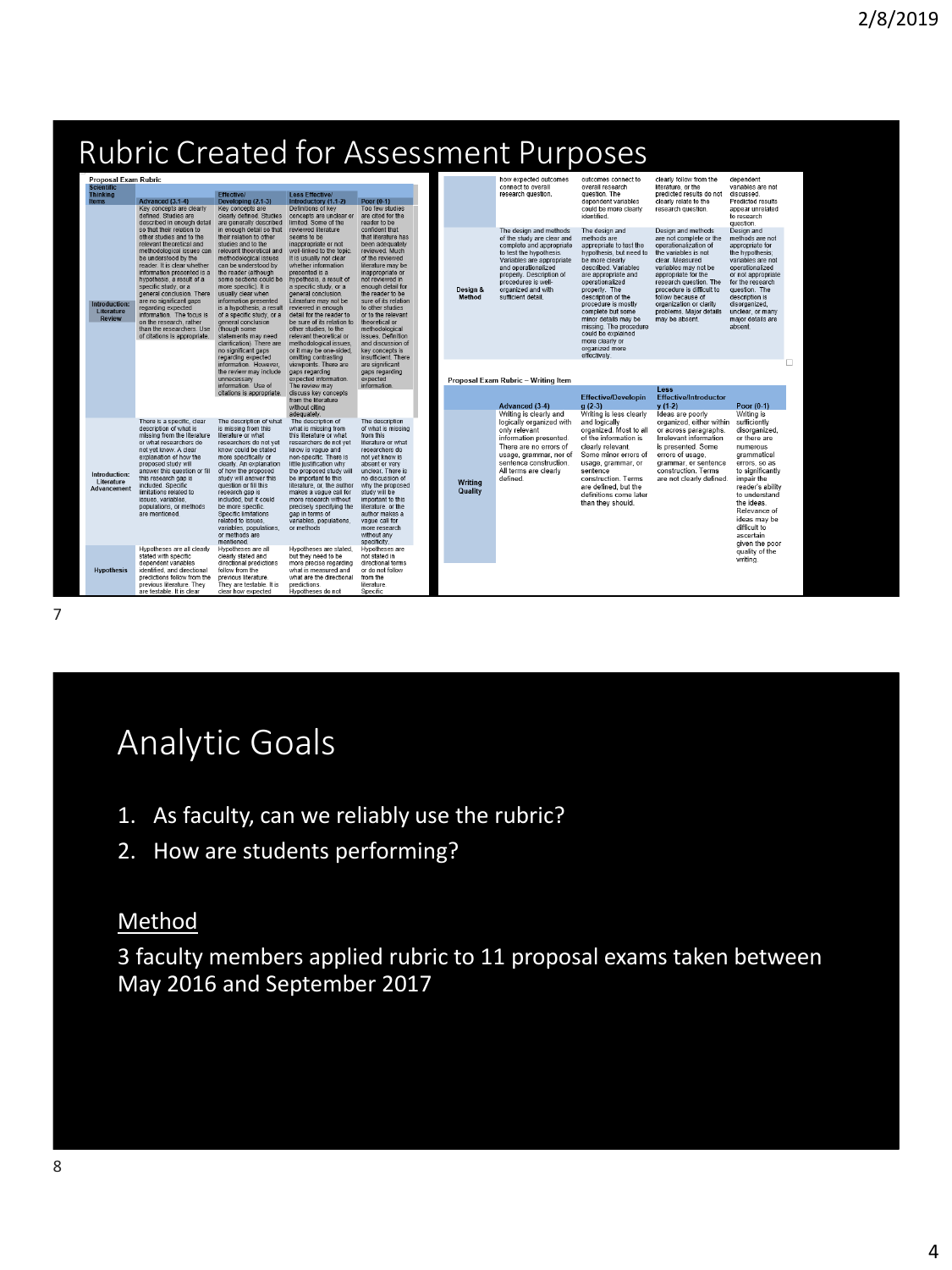### Rubric Created for Assessment Purposes

| <b>Proposal Exam Rubric</b>                          |                                                                                                                                                                                                                                                                                                                                                                                                                                                             |                                                                                                                                                                                                                                                                                                                                                                                                                                                                                   |                                                                                                                                                                                                                                                                                                                                                                                                                                                                                   |                                                                                                                                                                                                                                                                                                                                                                                               |  |                    | how expected outcomes                                                                                                                                                                                                                                          | outcomes connect to                                                                                                                                                                                                                                                                                                                                                                     | clearly follow from the                                                                                                                                                                                                                                                                                              | dependent                                                                                                                                                                                                                                                     |
|------------------------------------------------------|-------------------------------------------------------------------------------------------------------------------------------------------------------------------------------------------------------------------------------------------------------------------------------------------------------------------------------------------------------------------------------------------------------------------------------------------------------------|-----------------------------------------------------------------------------------------------------------------------------------------------------------------------------------------------------------------------------------------------------------------------------------------------------------------------------------------------------------------------------------------------------------------------------------------------------------------------------------|-----------------------------------------------------------------------------------------------------------------------------------------------------------------------------------------------------------------------------------------------------------------------------------------------------------------------------------------------------------------------------------------------------------------------------------------------------------------------------------|-----------------------------------------------------------------------------------------------------------------------------------------------------------------------------------------------------------------------------------------------------------------------------------------------------------------------------------------------------------------------------------------------|--|--------------------|----------------------------------------------------------------------------------------------------------------------------------------------------------------------------------------------------------------------------------------------------------------|-----------------------------------------------------------------------------------------------------------------------------------------------------------------------------------------------------------------------------------------------------------------------------------------------------------------------------------------------------------------------------------------|----------------------------------------------------------------------------------------------------------------------------------------------------------------------------------------------------------------------------------------------------------------------------------------------------------------------|---------------------------------------------------------------------------------------------------------------------------------------------------------------------------------------------------------------------------------------------------------------|
| <b>Scientific</b><br><b>Thinking</b><br><b>Items</b> | Advanced (3.1-4)<br>Key concepts are clearly<br>defined. Studies are<br>described in enough detail                                                                                                                                                                                                                                                                                                                                                          | <b>Effective/</b><br>Developing (2.1-3)<br>Key concepts are<br>clearly defined. Studies<br>are generally described                                                                                                                                                                                                                                                                                                                                                                | <b>Less Effective/</b><br>Introductory (1.1-2)<br>Definitions of key<br>concepts are unclear or<br>limited. Some of the                                                                                                                                                                                                                                                                                                                                                           | Poor $(0.1)$<br>Too few studies<br>are cited for the<br>reader to be                                                                                                                                                                                                                                                                                                                          |  |                    | connect to overall<br>research question.                                                                                                                                                                                                                       | overall research<br>question. The<br>dependent variables<br>could be more clearly<br>identified.                                                                                                                                                                                                                                                                                        | literature, or the<br>predicted results do not<br>clearly relate to the<br>research question.                                                                                                                                                                                                                        | variables are not<br>discussed<br>Predicted results<br>appear unrelated<br>to research<br>question.                                                                                                                                                           |
| Introduction:<br>Literature<br><b>Review</b>         | so that their relation to<br>other studies and to the<br>relevant theoretical and<br>methodological issues can<br>be understood by the<br>reader. It is clear whether<br>information presented is a<br>hypothesis, a result of a<br>specific study, or a<br>general conclusion. There<br>are no significant gaps<br>regarding expected<br>information. The focus is<br>on the research, rather<br>than the researchers. Use<br>of citations is appropriate. | in enough detail so that<br>their relation to other<br>studies and to the<br>relevant theoretical and<br>methodological issues<br>can be understood by<br>the reader (although<br>some sections could be<br>more specific). It is<br>usually clear when<br>information presented<br>is a hypothesis, a result<br>of a specific study, or a<br>general conclusion<br>(though some<br>statements may need<br>clarification). There are<br>no significant gaps<br>regarding expected | reviewed literature<br>seems to be<br>inappropriate or not<br>well-linked to the topic.<br>It is usually not clear<br>whether information<br>presented is a<br>hypothesis, a result of<br>a specific study, or a<br>general conclusion.<br>Literature may not be<br>reviewed in enough<br>detail for the reader to<br>be sure of its relation to<br>other studies, to the<br>relevant theoretical or<br>methodological issues.<br>or it may be one-sided.<br>omitting contrasting | confident that<br>that literature has<br>been adequately<br>reviewed. Much<br>of the reviewed<br>literature may be<br>inappropriate or<br>not reviewed in<br>enough detail for<br>the reader to be<br>sure of its relation<br>to other studies<br>or to the relevant<br>theoretical or<br>methodological<br>issues. Definition<br>and discussion of<br>key concepts is<br>insufficient. There |  | Design &<br>Method | The design and methods<br>of the study are clear and<br>complete and appropriate<br>to test the hypothesis.<br>Variables are appropriate<br>and operationalized<br>properly. Description of<br>procedures is well-<br>organized and with<br>sufficient detail. | The design and<br>methods are<br>appropriate to test the<br>hypothesis, but need to<br>be more clearly<br>described. Variables<br>are appropriate and<br>operationalized<br>properly. The<br>description of the<br>procedure is mostly<br>complete but some<br>minor details may be<br>missing. The procedure<br>could be explained<br>more clearly or<br>organized more<br>effectively | Design and methods<br>are not complete or the<br>operationalization of<br>the variables is not<br>clear. Measured<br>variables may not be<br>appropriate for the<br>research question. The<br>procedure is difficult to<br>follow because of<br>organization or clarity<br>problems. Major details<br>may be absent. | Design and<br>methods are not<br>appropriate for<br>the hypothesis;<br>variables are not<br>operationalized<br>or not appropriate<br>for the research<br>question. The<br>description is<br>disorganized,<br>unclear, or many<br>major details are<br>absent  |
|                                                      |                                                                                                                                                                                                                                                                                                                                                                                                                                                             | information. However.<br>the review may include<br>unnecessarv<br>information Use of<br>citations is appropriate.                                                                                                                                                                                                                                                                                                                                                                 | viewpoints. There are<br>gaps regarding<br>expected information.<br>The review may<br>discuss key concepts<br>from the literature<br>without citing<br>adequately                                                                                                                                                                                                                                                                                                                 | are significant<br>gaps regarding<br>expected<br>information                                                                                                                                                                                                                                                                                                                                  |  |                    | Proposal Exam Rubric - Writing Item<br>Advanced (3-4)<br>Writing is clearly and                                                                                                                                                                                | <b>Effective/Developin</b><br>$q(2-3)$<br>Writing is less clearly                                                                                                                                                                                                                                                                                                                       | Less<br><b>Effective/Introductor</b><br>$y(1-2)$<br>Ideas are poorly                                                                                                                                                                                                                                                 | ш<br>Poor (0-1)<br>Writing is                                                                                                                                                                                                                                 |
| Introduction:<br>Literature<br>Advancement           | There is a specific, clear<br>description of what is<br>missing from the literature<br>or what researchers do<br>not yet know. A clear<br>explanation of how the<br>proposed study will<br>answer this question or fill<br>this research gap is<br>included. Specific<br>limitations related to<br>issues, variables.<br>populations, or methods<br>are mentioned.                                                                                          | The description of what<br>is missing from this<br>literature or what<br>researchers do not vet<br>know could be stated<br>more specifically or<br>clearly. An explanation<br>of how the proposed<br>study will answer this<br>question or fill this<br>research gap is<br>included, but it could<br>be more specific.<br><b>Specific limitations</b><br>related to issues.<br>variables, populations,<br>or methods are<br>mentioned                                             | The description of<br>what is missing from<br>this literature or what<br>researchers do not vet<br>know is vague and<br>non-specific. There is<br>little justification why<br>the proposed study will<br>be important to this<br>literature, or, the author<br>makes a vague call for<br>more research without<br>precisely specifying the<br>gap in terms of<br>variables, populations<br>or methods                                                                             | The description<br>of what is missing<br>from this<br>literature or what<br>researchers do<br>not yet know is<br>absent or very<br>unclear. There is<br>no discussion of<br>why the proposed<br>study will be<br>important to this<br>literature, or the<br>author makes a<br>vague call for<br>more research<br>without any<br>specificity.                                                  |  | Writing<br>Quality | logically organized with<br>only relevant<br>information presented.<br>There are no errors of<br>usage, grammar, nor of<br>sentence construction.<br>All terms are clearly<br>defined.                                                                         | and logically<br>organized. Most to all<br>of the information is<br>clearly relevant.<br>Some minor errors of<br>usage, grammar, or<br>sentence<br>construction. Terms<br>are defined, but the<br>definitions come later<br>than they should.                                                                                                                                           | organized, either within<br>or across paragraphs.<br>Irrelevant information<br>is presented. Some<br>errors of usage,<br>grammar, or sentence<br>construction. Terms<br>are not clearly defined                                                                                                                      | sufficiently<br>disorganized.<br>or there are<br>numerous<br>grammatical<br>errors, so as<br>to significantly<br>impair the<br>reader's ability<br>to understand<br>the ideas.<br>Relevance of<br>ideas may be<br>difficult to<br>ascertain<br>given the poor |
| <b>Hypothesis</b>                                    | Hypotheses are all clearly<br>stated with specific<br>dependent variables<br>identified, and directional<br>predictions follow from the<br>previous literature. They<br>are testable It is clear                                                                                                                                                                                                                                                            | Hypotheses are all<br>clearly stated and<br>directional predictions<br>follow from the<br>previous literature.<br>They are testable. It is<br>clear how expected.                                                                                                                                                                                                                                                                                                                 | Hypotheses are stated.<br>but they need to be<br>more precise regarding<br>what is measured and<br>what are the directional<br>predictions<br>Hynotheses do not                                                                                                                                                                                                                                                                                                                   | Hypotheses are<br>not stated in<br>directional terms<br>or do not follow<br>from the<br>literature.<br>Specific                                                                                                                                                                                                                                                                               |  |                    |                                                                                                                                                                                                                                                                |                                                                                                                                                                                                                                                                                                                                                                                         |                                                                                                                                                                                                                                                                                                                      | quality of the<br>writing.                                                                                                                                                                                                                                    |

7

## Analytic Goals

- 1. As faculty, can we reliably use the rubric?
- 2. How are students performing?

#### Method

3 faculty members applied rubric to 11 proposal exams taken between May 2016 and September 2017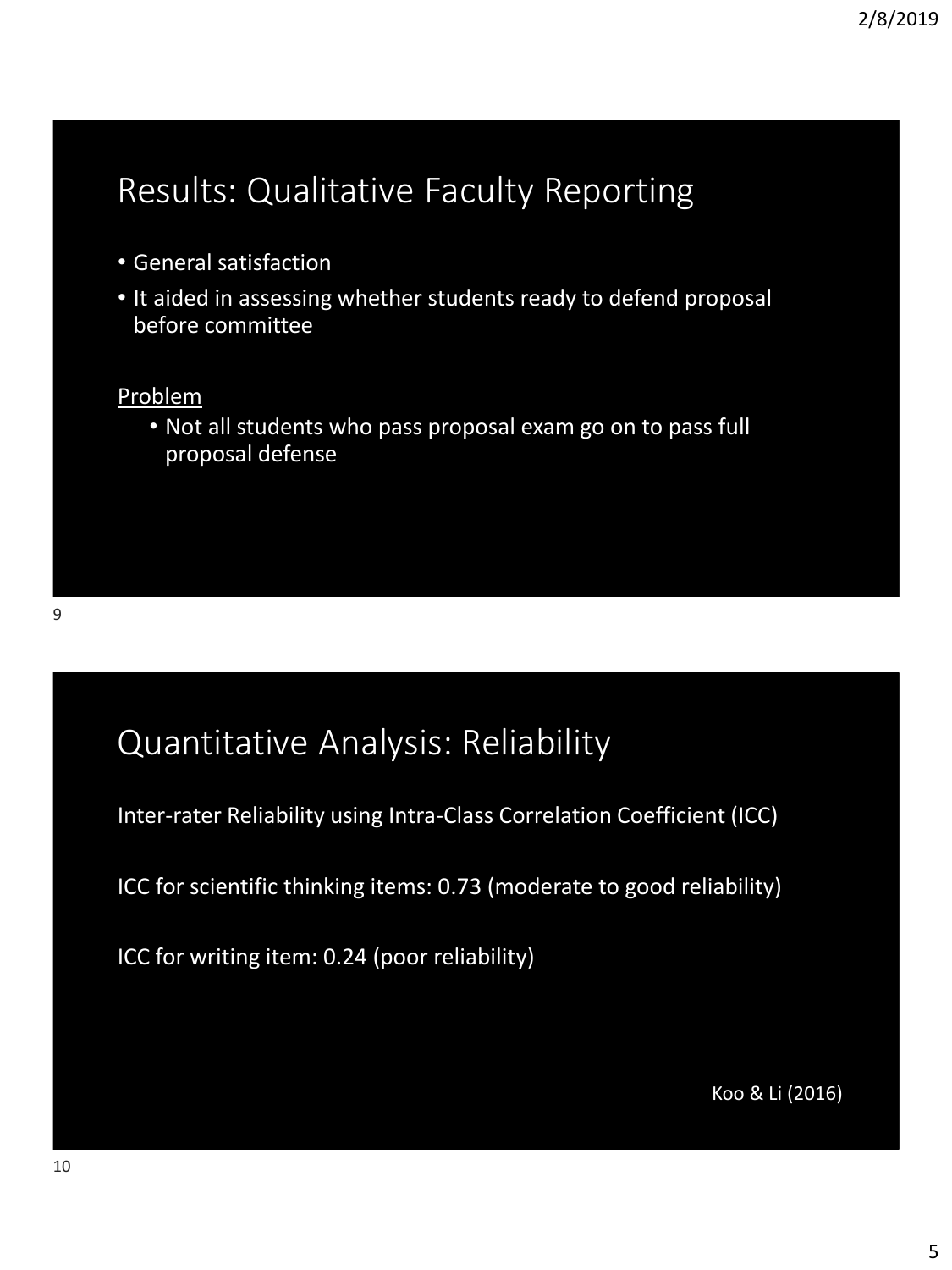## Results: Qualitative Faculty Reporting

- General satisfaction
- It aided in assessing whether students ready to defend proposal before committee

### Problem

• Not all students who pass proposal exam go on to pass full proposal defense

## Quantitative Analysis: Reliability

Inter-rater Reliability using Intra-Class Correlation Coefficient (ICC)

ICC for scientific thinking items: 0.73 (moderate to good reliability)

ICC for writing item: 0.24 (poor reliability)

Koo & Li (2016)